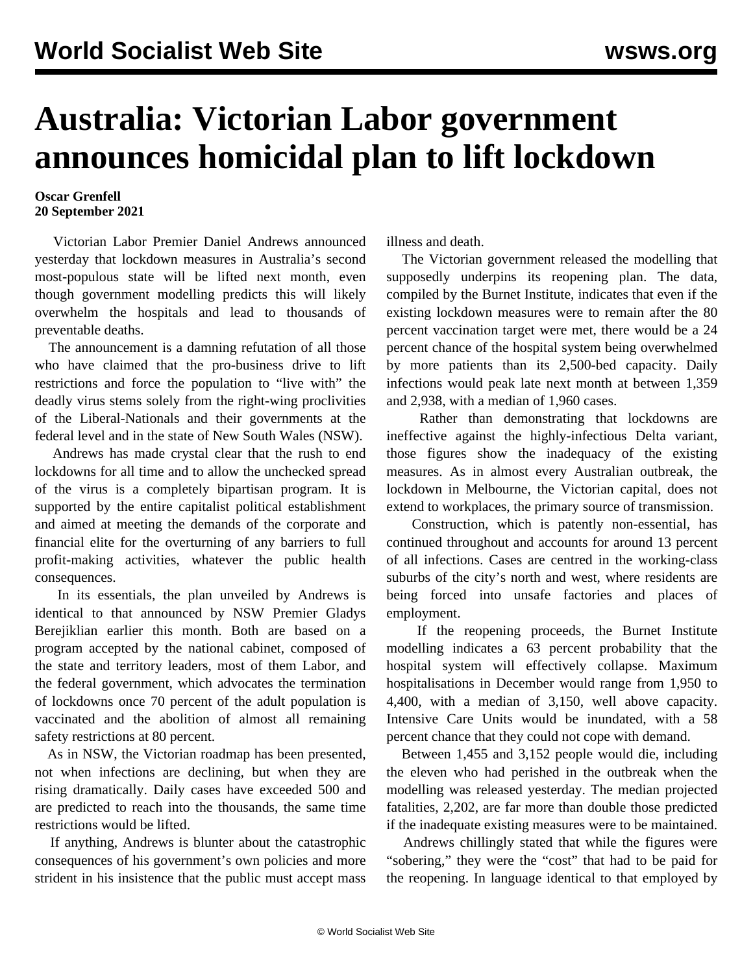## **Australia: Victorian Labor government announces homicidal plan to lift lockdown**

## **Oscar Grenfell 20 September 2021**

 Victorian Labor Premier Daniel Andrews announced yesterday that lockdown measures in Australia's second most-populous state will be lifted next month, even though government modelling predicts this will likely overwhelm the hospitals and lead to thousands of preventable deaths.

 The announcement is a damning refutation of all those who have claimed that the pro-business drive to lift restrictions and force the population to "live with" the deadly virus stems solely from the right-wing proclivities of the Liberal-Nationals and their governments at the federal level and in the state of New South Wales (NSW).

 Andrews has made crystal clear that the rush to end lockdowns for all time and to allow the unchecked spread of the virus is a completely bipartisan program. It is supported by the entire capitalist political establishment and aimed at meeting the demands of the corporate and financial elite for the overturning of any barriers to full profit-making activities, whatever the public health consequences.

 In its essentials, the plan unveiled by Andrews is identical to that announced by NSW Premier Gladys Berejiklian earlier this month. Both are based on a program accepted by the national cabinet, composed of the state and territory leaders, most of them Labor, and the federal government, which advocates the termination of lockdowns once 70 percent of the adult population is vaccinated and the abolition of almost all remaining safety restrictions at 80 percent.

 As in NSW, the Victorian roadmap has been presented, not when infections are declining, but when they are rising dramatically. Daily cases have exceeded 500 and are predicted to reach into the thousands, the same time restrictions would be lifted.

 If anything, Andrews is blunter about the catastrophic consequences of his government's own policies and more strident in his insistence that the public must accept mass illness and death.

 The Victorian government released the modelling that supposedly underpins its reopening plan. The data, compiled by the Burnet Institute, indicates that even if the existing lockdown measures were to remain after the 80 percent vaccination target were met, there would be a 24 percent chance of the hospital system being overwhelmed by more patients than its 2,500-bed capacity. Daily infections would peak late next month at between 1,359 and 2,938, with a median of 1,960 cases.

 Rather than demonstrating that lockdowns are ineffective against the highly-infectious Delta variant, those figures show the inadequacy of the existing measures. As in almost every Australian outbreak, the lockdown in Melbourne, the Victorian capital, does not extend to workplaces, the primary source of transmission.

 Construction, which is patently non-essential, has continued throughout and accounts for around 13 percent of all infections. Cases are centred in the working-class suburbs of the city's north and west, where residents are being forced into unsafe factories and places of employment.

 If the reopening proceeds, the Burnet Institute modelling indicates a 63 percent probability that the hospital system will effectively collapse. Maximum hospitalisations in December would range from 1,950 to 4,400, with a median of 3,150, well above capacity. Intensive Care Units would be inundated, with a 58 percent chance that they could not cope with demand.

 Between 1,455 and 3,152 people would die, including the eleven who had perished in the outbreak when the modelling was released yesterday. The median projected fatalities, 2,202, are far more than double those predicted if the inadequate existing measures were to be maintained.

 Andrews chillingly stated that while the figures were "sobering," they were the "cost" that had to be paid for the reopening. In language identical to that employed by